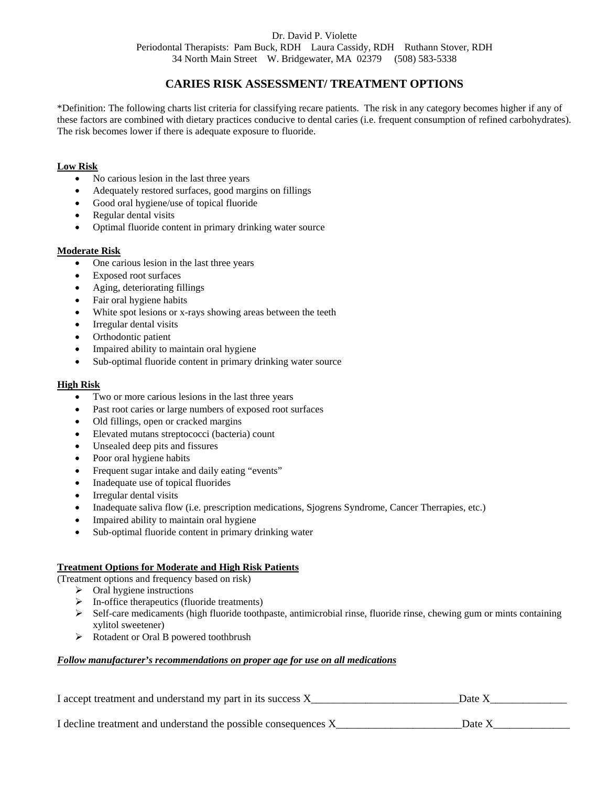### Dr. David P. Violette Periodontal Therapists: Pam Buck, RDH Laura Cassidy, RDH Ruthann Stover, RDH 34 North Main Street W. Bridgewater, MA 02379 (508) 583-5338

# **CARIES RISK ASSESSMENT/ TREATMENT OPTIONS**

\*Definition: The following charts list criteria for classifying recare patients. The risk in any category becomes higher if any of these factors are combined with dietary practices conducive to dental caries (i.e. frequent consumption of refined carbohydrates). The risk becomes lower if there is adequate exposure to fluoride.

#### **Low Risk**

- No carious lesion in the last three years
- Adequately restored surfaces, good margins on fillings
- Good oral hygiene/use of topical fluoride
- Regular dental visits
- Optimal fluoride content in primary drinking water source

#### **Moderate Risk**

- One carious lesion in the last three years
- Exposed root surfaces
- Aging, deteriorating fillings
- Fair oral hygiene habits
- White spot lesions or x-rays showing areas between the teeth
- Irregular dental visits
- Orthodontic patient
- Impaired ability to maintain oral hygiene
- Sub-optimal fluoride content in primary drinking water source

#### **High Risk**

- Two or more carious lesions in the last three years
- Past root caries or large numbers of exposed root surfaces
- Old fillings, open or cracked margins
- Elevated mutans streptococci (bacteria) count
- Unsealed deep pits and fissures
- Poor oral hygiene habits
- Frequent sugar intake and daily eating "events"
- Inadequate use of topical fluorides
- Irregular dental visits
- Inadequate saliva flow (i.e. prescription medications, Sjogrens Syndrome, Cancer Therrapies, etc.)
- Impaired ability to maintain oral hygiene
- Sub-optimal fluoride content in primary drinking water

## **Treatment Options for Moderate and High Risk Patients**

(Treatment options and frequency based on risk)

- $\triangleright$  Oral hygiene instructions
- $\triangleright$  In-office therapeutics (fluoride treatments)
- $\triangleright$  Self-care medicaments (high fluoride toothpaste, antimicrobial rinse, fluoride rinse, chewing gum or mints containing xylitol sweetener)
- ¾ Rotadent or Oral B powered toothbrush

#### *Follow manufacturer's recommendations on proper age for use on all medications*

I accept treatment and understand my part in its success X\_\_\_\_\_\_\_\_\_\_\_\_\_\_\_\_\_\_\_\_\_\_\_\_\_\_\_Date X\_\_\_\_\_\_\_\_\_\_\_\_\_\_

I decline treatment and understand the possible consequences  $X_{\text{max}}$  Date X